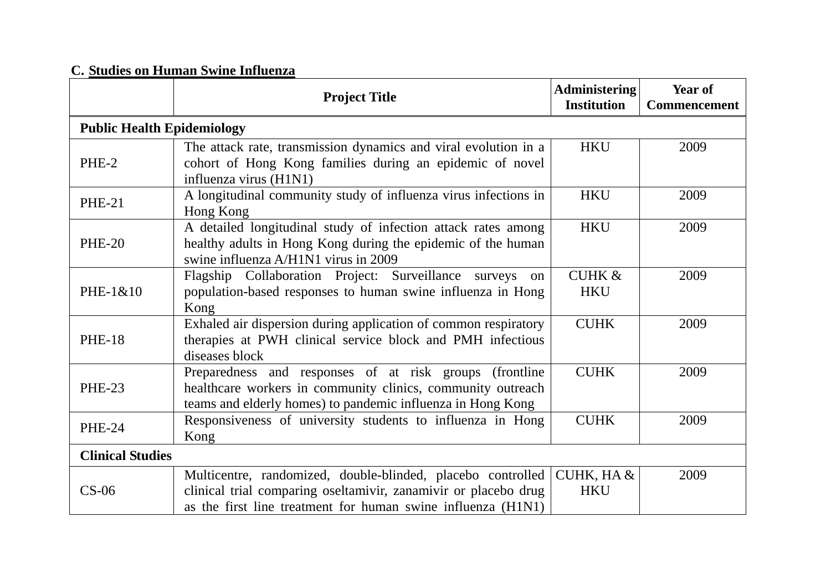## **C. Studies on Human Swine Influenza**

|                                   | <b>Project Title</b>                                                                                                                                                                           | <b>Administering</b><br><b>Institution</b> | Year of<br><b>Commencement</b> |  |
|-----------------------------------|------------------------------------------------------------------------------------------------------------------------------------------------------------------------------------------------|--------------------------------------------|--------------------------------|--|
| <b>Public Health Epidemiology</b> |                                                                                                                                                                                                |                                            |                                |  |
| PHE-2                             | The attack rate, transmission dynamics and viral evolution in a<br>cohort of Hong Kong families during an epidemic of novel<br>influenza virus (H1N1)                                          | <b>HKU</b>                                 | 2009                           |  |
| <b>PHE-21</b>                     | A longitudinal community study of influenza virus infections in<br>Hong Kong                                                                                                                   | <b>HKU</b>                                 | 2009                           |  |
| <b>PHE-20</b>                     | A detailed longitudinal study of infection attack rates among<br>healthy adults in Hong Kong during the epidemic of the human<br>swine influenza A/H1N1 virus in 2009                          | <b>HKU</b>                                 | 2009                           |  |
| PHE-1&10                          | Flagship Collaboration Project: Surveillance<br>surveys<br>on<br>population-based responses to human swine influenza in Hong<br>Kong                                                           | <b>CUHK &amp;</b><br><b>HKU</b>            | 2009                           |  |
| <b>PHE-18</b>                     | Exhaled air dispersion during application of common respiratory<br>therapies at PWH clinical service block and PMH infectious<br>diseases block                                                | <b>CUHK</b>                                | 2009                           |  |
| <b>PHE-23</b>                     | Preparedness and responses of at risk groups<br>(frontline)<br>healthcare workers in community clinics, community outreach<br>teams and elderly homes) to pandemic influenza in Hong Kong      | <b>CUHK</b>                                | 2009                           |  |
| <b>PHE-24</b>                     | Responsiveness of university students to influenza in Hong<br>Kong                                                                                                                             | <b>CUHK</b>                                | 2009                           |  |
| <b>Clinical Studies</b>           |                                                                                                                                                                                                |                                            |                                |  |
| $CS-06$                           | Multicentre, randomized, double-blinded, placebo controlled<br>clinical trial comparing oseltamivir, zanamivir or placebo drug<br>as the first line treatment for human swine influenza (H1N1) | CUHK, HA &<br><b>HKU</b>                   | 2009                           |  |